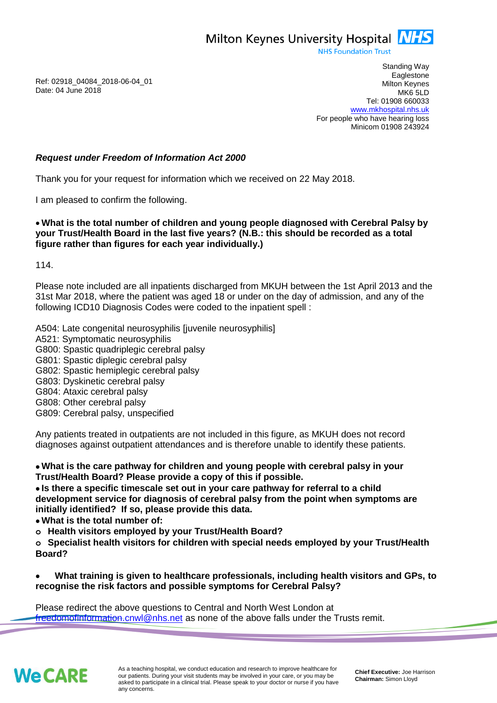Milton Keynes University Hospital **NHS** 

**NHS Foundation Trust** 

Ref: 02918\_04084\_2018-06-04\_01 Date: 04 June 2018

Standing Way **Eaglestone** Milton Keynes MK6 5LD Tel: 01908 660033 [www.mkhospital.nhs.uk](http://www.mkhospital.nhs.uk/) For people who have hearing loss Minicom 01908 243924

## *Request under Freedom of Information Act 2000*

Thank you for your request for information which we received on 22 May 2018.

I am pleased to confirm the following.

## **What is the total number of children and young people diagnosed with Cerebral Palsy by your Trust/Health Board in the last five years? (N.B.: this should be recorded as a total figure rather than figures for each year individually.)**

114.

Please note included are all inpatients discharged from MKUH between the 1st April 2013 and the 31st Mar 2018, where the patient was aged 18 or under on the day of admission, and any of the following ICD10 Diagnosis Codes were coded to the inpatient spell :

A504: Late congenital neurosyphilis [juvenile neurosyphilis]

- A521: Symptomatic neurosyphilis
- G800: Spastic quadriplegic cerebral palsy
- G801: Spastic diplegic cerebral palsy
- G802: Spastic hemiplegic cerebral palsy
- G803: Dyskinetic cerebral palsy
- G804: Ataxic cerebral palsy
- G808: Other cerebral palsy
- G809: Cerebral palsy, unspecified

Any patients treated in outpatients are not included in this figure, as MKUH does not record diagnoses against outpatient attendances and is therefore unable to identify these patients.

 **What is the care pathway for children and young people with cerebral palsy in your Trust/Health Board? Please provide a copy of this if possible.**

 **Is there a specific timescale set out in your care pathway for referral to a child development service for diagnosis of cerebral palsy from the point when symptoms are initially identified? If so, please provide this data.**

- **What is the total number of:**
- **o Health visitors employed by your Trust/Health Board?**

**o Specialist health visitors for children with special needs employed by your Trust/Health Board?**

 **What training is given to healthcare professionals, including health visitors and GPs, to recognise the risk factors and possible symptoms for Cerebral Palsy?**

Please redirect the above questions to Central and North West London at [freedomofinformation.cnwl@nhs.net](mailto:freedomofinformation.cnwl@nhs.net) as none of the above falls under the Trusts remit.